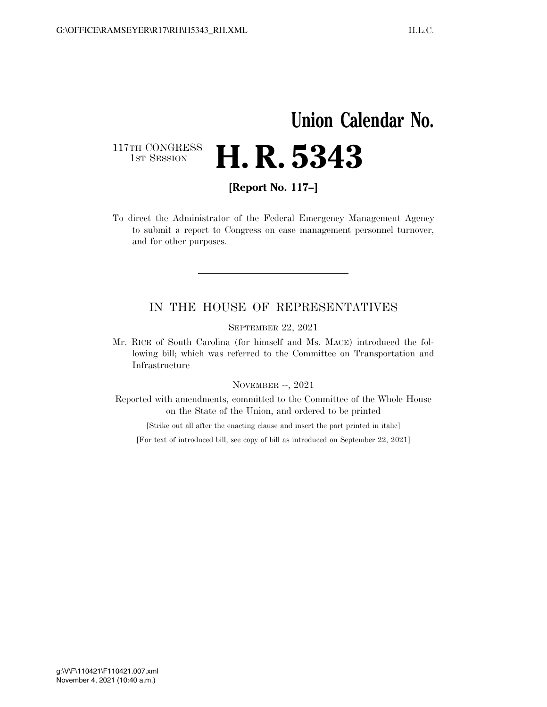## **Union Calendar No.**  117TH CONGRESS<br>1st Session **H. R. 5343**

**[Report No. 117–]** 

To direct the Administrator of the Federal Emergency Management Agency to submit a report to Congress on case management personnel turnover, and for other purposes.

## IN THE HOUSE OF REPRESENTATIVES

SEPTEMBER 22, 2021

Mr. RICE of South Carolina (for himself and Ms. MACE) introduced the following bill; which was referred to the Committee on Transportation and Infrastructure

## NOVEMBER --, 2021

Reported with amendments, committed to the Committee of the Whole House on the State of the Union, and ordered to be printed

[Strike out all after the enacting clause and insert the part printed in italic]

[For text of introduced bill, see copy of bill as introduced on September 22, 2021]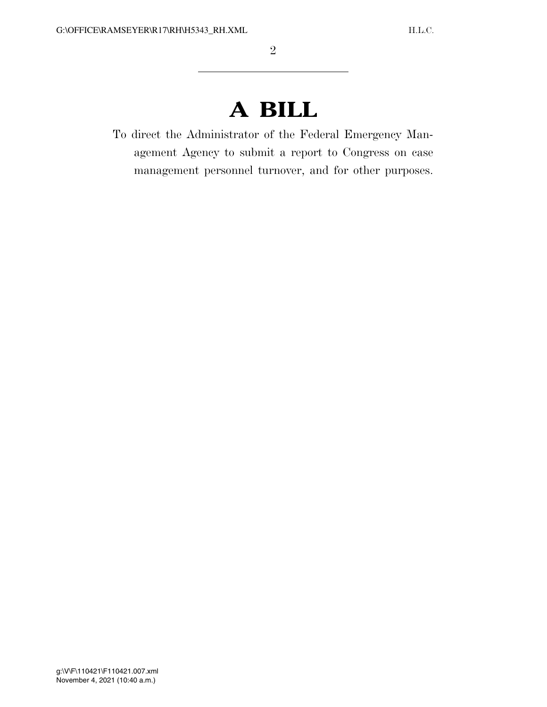## **A BILL**

To direct the Administrator of the Federal Emergency Management Agency to submit a report to Congress on case management personnel turnover, and for other purposes.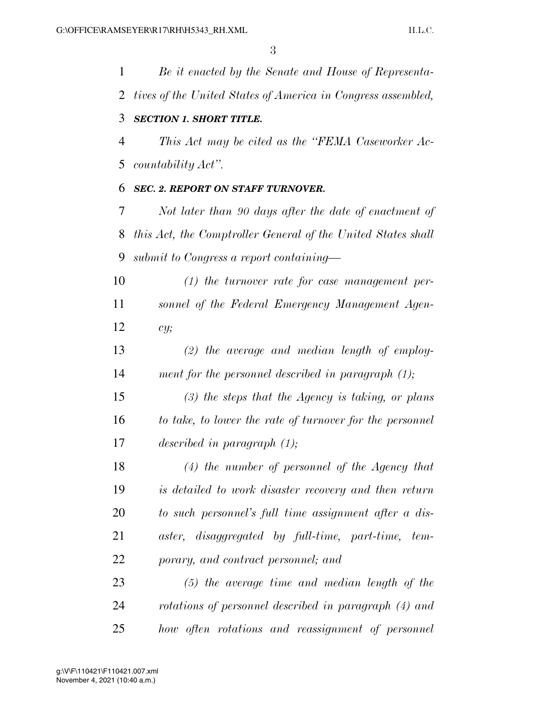*Be it enacted by the Senate and House of Representa- tives of the United States of America in Congress assembled, SECTION 1. SHORT TITLE. This Act may be cited as the ''FEMA Caseworker Ac- countability Act''. SEC. 2. REPORT ON STAFF TURNOVER. Not later than 90 days after the date of enactment of this Act, the Comptroller General of the United States shall submit to Congress a report containing— (1) the turnover rate for case management per- sonnel of the Federal Emergency Management Agen- cy; (2) the average and median length of employ- ment for the personnel described in paragraph (1); (3) the steps that the Agency is taking, or plans to take, to lower the rate of turnover for the personnel described in paragraph (1); (4) the number of personnel of the Agency that is detailed to work disaster recovery and then return to such personnel's full time assignment after a dis- aster, disaggregated by full-time, part-time, tem- porary, and contract personnel; and (5) the average time and median length of the rotations of personnel described in paragraph (4) and how often rotations and reassignment of personnel*